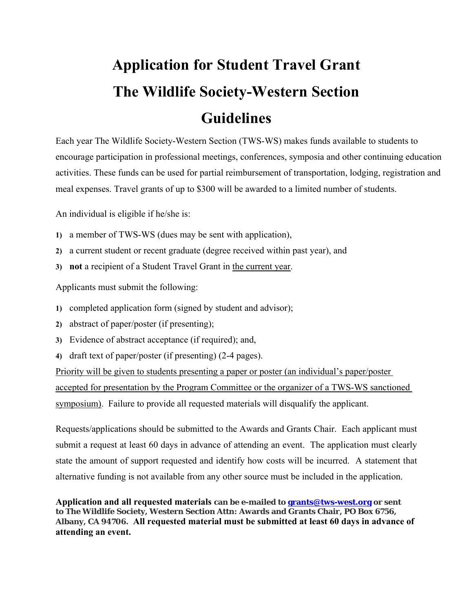## **Application for Student Travel Grant The Wildlife Society-Western Section Guidelines**

Each year The Wildlife Society-Western Section (TWS-WS) makes funds available to students to encourage participation in professional meetings, conferences, symposia and other continuing education activities. These funds can be used for partial reimbursement of transportation, lodging, registration and meal expenses. Travel grants of up to \$300 will be awarded to a limited number of students.

An individual is eligible if he/she is:

- **1)** a member of TWS-WS (dues may be sent with application),
- **2)** a current student or recent graduate (degree received within past year), and
- **3) not** a recipient of a Student Travel Grant in the current year.

Applicants must submit the following:

- **1)** completed application form (signed by student and advisor);
- **2)** abstract of paper/poster (if presenting);
- **3)** Evidence of abstract acceptance (if required); and,
- **4)** draft text of paper/poster (if presenting) (2-4 pages).

Priority will be given to students presenting a paper or poster (an individual's paper/poster accepted for presentation by the Program Committee or the organizer of a TWS-WS sanctioned symposium). Failure to provide all requested materials will disqualify the applicant.

Requests/applications should be submitted to the Awards and Grants Chair. Each applicant must submit a request at least 60 days in advance of attending an event. The application must clearly state the amount of support requested and identify how costs will be incurred. A statement that alternative funding is not available from any other source must be included in the application.

**Application and all requested materials can be e-mailed to grants@tws-west.org or sent to The Wildlife Society, Western Section Attn: Awards and Grants Chair, PO Box 6756, Albany, CA 94706. All requested material must be submitted at least 60 days in advance of attending an event.**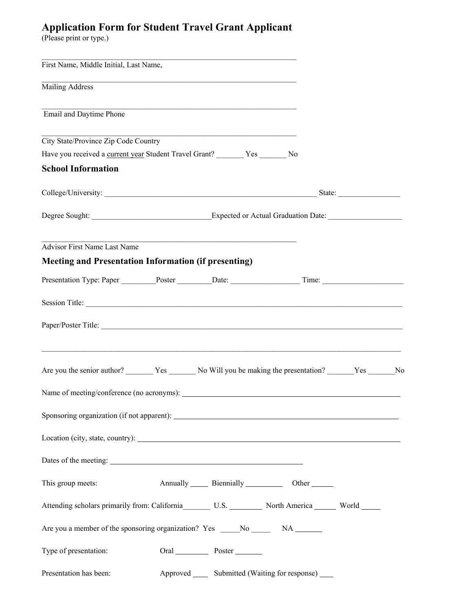## **Application Form for Student Travel Grant Applicant**

(Please print or type.)

| First Name, Middle Initial, Last Name,                                                                                                                                                                                         |  |                                                                                                                      |                                                          |  |  |
|--------------------------------------------------------------------------------------------------------------------------------------------------------------------------------------------------------------------------------|--|----------------------------------------------------------------------------------------------------------------------|----------------------------------------------------------|--|--|
| Mailing Address                                                                                                                                                                                                                |  |                                                                                                                      |                                                          |  |  |
| Email and Daytime Phone                                                                                                                                                                                                        |  |                                                                                                                      |                                                          |  |  |
| City State/Province Zip Code Country<br>Have you received a current year Student Travel Grant? _______ Yes _______ No                                                                                                          |  |                                                                                                                      |                                                          |  |  |
|                                                                                                                                                                                                                                |  |                                                                                                                      |                                                          |  |  |
| College/University: State: State: State: State: State: State: State: State: State: State: State: State: State: State: State: State: State: State: State: State: State: State: State: State: State: State: State: State: State: |  |                                                                                                                      |                                                          |  |  |
| Degree Sought: Expected or Actual Graduation Date:                                                                                                                                                                             |  |                                                                                                                      |                                                          |  |  |
| <b>Advisor First Name Last Name</b>                                                                                                                                                                                            |  | <u> 1989 - Johann John Harry Harry Harry Harry Harry Harry Harry Harry Harry Harry Harry Harry Harry Harry Harry</u> |                                                          |  |  |
| <b>Meeting and Presentation Information (if presenting)</b>                                                                                                                                                                    |  |                                                                                                                      |                                                          |  |  |
|                                                                                                                                                                                                                                |  |                                                                                                                      |                                                          |  |  |
|                                                                                                                                                                                                                                |  |                                                                                                                      |                                                          |  |  |
|                                                                                                                                                                                                                                |  |                                                                                                                      |                                                          |  |  |
| <u> 1989 - Johann Stoff, amerikan bestein besteht aus dem Berlingen aus dem Berlingen aus dem Berlingen aus der E</u>                                                                                                          |  |                                                                                                                      |                                                          |  |  |
|                                                                                                                                                                                                                                |  |                                                                                                                      |                                                          |  |  |
|                                                                                                                                                                                                                                |  |                                                                                                                      |                                                          |  |  |
| Location (city, state, country): Manual Control of the Control of the Control of the Control of the Control of the Control of the Control of the Control of the Control of the Control of the Control of the Control of the Co |  |                                                                                                                      |                                                          |  |  |
|                                                                                                                                                                                                                                |  |                                                                                                                      |                                                          |  |  |
| This group meets:                                                                                                                                                                                                              |  |                                                                                                                      | Annually Biennially Cher                                 |  |  |
| Attending scholars primarily from: California _________ U.S. ___________ North America _______ World ______                                                                                                                    |  |                                                                                                                      |                                                          |  |  |
|                                                                                                                                                                                                                                |  |                                                                                                                      |                                                          |  |  |
| Type of presentation:                                                                                                                                                                                                          |  | Oral Poster                                                                                                          |                                                          |  |  |
| Presentation has been:                                                                                                                                                                                                         |  |                                                                                                                      | Approved _______ Submitted (Waiting for response) ______ |  |  |